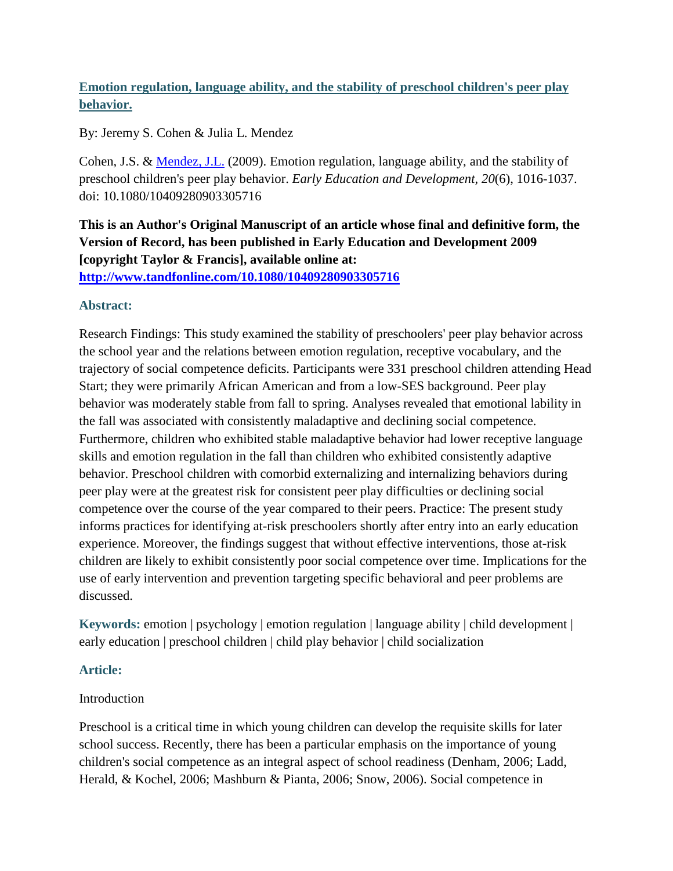# **Emotion regulation, language ability, and the stability of preschool children's peer play behavior.**

By: Jeremy S. Cohen & Julia L. Mendez

Cohen, J.S. & [Mendez, J.L.](http://libres.uncg.edu/ir/uncg/clist.aspx?id=2862) (2009). Emotion regulation, language ability, and the stability of preschool children's peer play behavior. *Early Education and Development, 20*(6), 1016-1037. doi: 10.1080/10409280903305716

**This is an Author's Original Manuscript of an article whose final and definitive form, the Version of Record, has been published in Early Education and Development 2009 [copyright Taylor & Francis], available online at:**

**<http://www.tandfonline.com/10.1080/10409280903305716>**

## **Abstract:**

Research Findings: This study examined the stability of preschoolers' peer play behavior across the school year and the relations between emotion regulation, receptive vocabulary, and the trajectory of social competence deficits. Participants were 331 preschool children attending Head Start; they were primarily African American and from a low-SES background. Peer play behavior was moderately stable from fall to spring. Analyses revealed that emotional lability in the fall was associated with consistently maladaptive and declining social competence. Furthermore, children who exhibited stable maladaptive behavior had lower receptive language skills and emotion regulation in the fall than children who exhibited consistently adaptive behavior. Preschool children with comorbid externalizing and internalizing behaviors during peer play were at the greatest risk for consistent peer play difficulties or declining social competence over the course of the year compared to their peers. Practice: The present study informs practices for identifying at-risk preschoolers shortly after entry into an early education experience. Moreover, the findings suggest that without effective interventions, those at-risk children are likely to exhibit consistently poor social competence over time. Implications for the use of early intervention and prevention targeting specific behavioral and peer problems are discussed.

**Keywords:** emotion | psychology | emotion regulation | language ability | child development | early education | preschool children | child play behavior | child socialization

# **Article:**

# Introduction

Preschool is a critical time in which young children can develop the requisite skills for later school success. Recently, there has been a particular emphasis on the importance of young children's social competence as an integral aspect of school readiness (Denham, 2006; Ladd, Herald, & Kochel, 2006; Mashburn & Pianta, 2006; Snow, 2006). Social competence in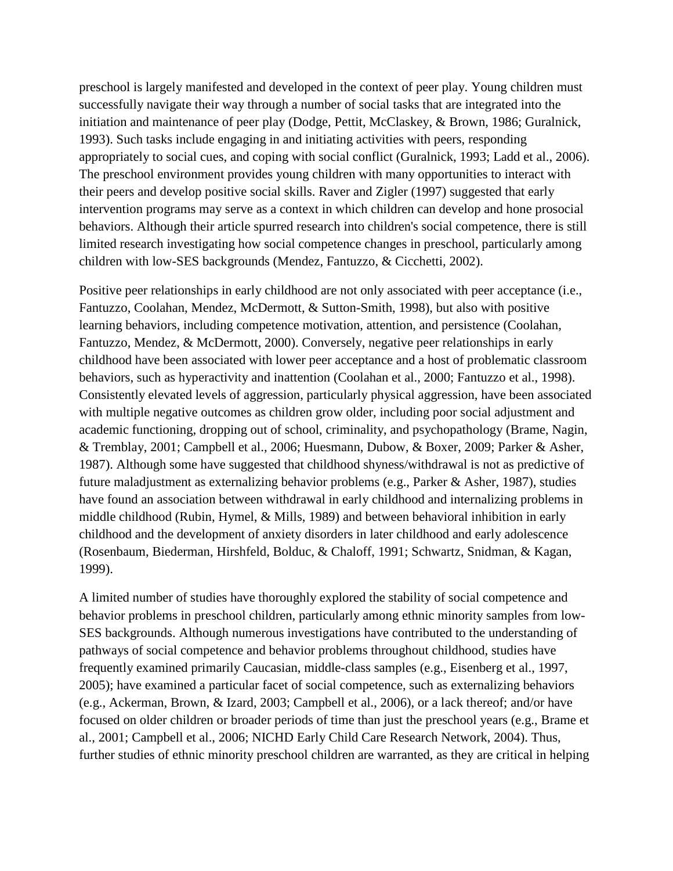preschool is largely manifested and developed in the context of peer play. Young children must successfully navigate their way through a number of social tasks that are integrated into the initiation and maintenance of peer play (Dodge, Pettit, McClaskey, & Brown, 1986; Guralnick, 1993). Such tasks include engaging in and initiating activities with peers, responding appropriately to social cues, and coping with social conflict (Guralnick, 1993; Ladd et al., 2006). The preschool environment provides young children with many opportunities to interact with their peers and develop positive social skills. Raver and Zigler (1997) suggested that early intervention programs may serve as a context in which children can develop and hone prosocial behaviors. Although their article spurred research into children's social competence, there is still limited research investigating how social competence changes in preschool, particularly among children with low-SES backgrounds (Mendez, Fantuzzo, & Cicchetti, 2002).

Positive peer relationships in early childhood are not only associated with peer acceptance (i.e., Fantuzzo, Coolahan, Mendez, McDermott, & Sutton-Smith, 1998), but also with positive learning behaviors, including competence motivation, attention, and persistence (Coolahan, Fantuzzo, Mendez, & McDermott, 2000). Conversely, negative peer relationships in early childhood have been associated with lower peer acceptance and a host of problematic classroom behaviors, such as hyperactivity and inattention (Coolahan et al., 2000; Fantuzzo et al., 1998). Consistently elevated levels of aggression, particularly physical aggression, have been associated with multiple negative outcomes as children grow older, including poor social adjustment and academic functioning, dropping out of school, criminality, and psychopathology (Brame, Nagin, & Tremblay, 2001; Campbell et al., 2006; Huesmann, Dubow, & Boxer, 2009; Parker & Asher, 1987). Although some have suggested that childhood shyness/withdrawal is not as predictive of future maladjustment as externalizing behavior problems (e.g., Parker & Asher, 1987), studies have found an association between withdrawal in early childhood and internalizing problems in middle childhood (Rubin, Hymel, & Mills, 1989) and between behavioral inhibition in early childhood and the development of anxiety disorders in later childhood and early adolescence (Rosenbaum, Biederman, Hirshfeld, Bolduc, & Chaloff, 1991; Schwartz, Snidman, & Kagan, 1999).

A limited number of studies have thoroughly explored the stability of social competence and behavior problems in preschool children, particularly among ethnic minority samples from low-SES backgrounds. Although numerous investigations have contributed to the understanding of pathways of social competence and behavior problems throughout childhood, studies have frequently examined primarily Caucasian, middle-class samples (e.g., Eisenberg et al., 1997, 2005); have examined a particular facet of social competence, such as externalizing behaviors (e.g., Ackerman, Brown, & Izard, 2003; Campbell et al., 2006), or a lack thereof; and/or have focused on older children or broader periods of time than just the preschool years (e.g., Brame et al., 2001; Campbell et al., 2006; NICHD Early Child Care Research Network, 2004). Thus, further studies of ethnic minority preschool children are warranted, as they are critical in helping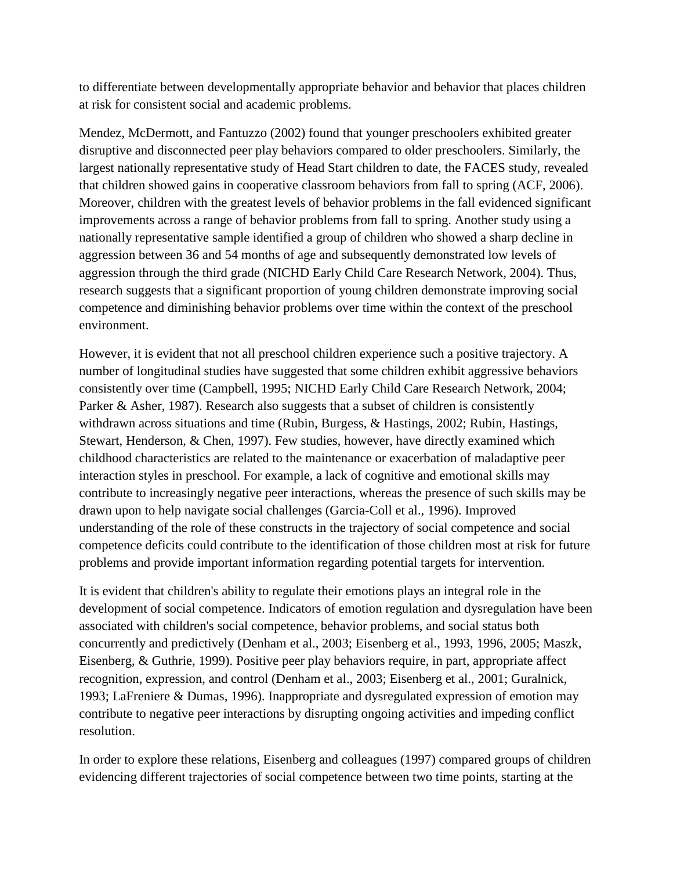to differentiate between developmentally appropriate behavior and behavior that places children at risk for consistent social and academic problems.

Mendez, McDermott, and Fantuzzo (2002) found that younger preschoolers exhibited greater disruptive and disconnected peer play behaviors compared to older preschoolers. Similarly, the largest nationally representative study of Head Start children to date, the FACES study, revealed that children showed gains in cooperative classroom behaviors from fall to spring (ACF, 2006). Moreover, children with the greatest levels of behavior problems in the fall evidenced significant improvements across a range of behavior problems from fall to spring. Another study using a nationally representative sample identified a group of children who showed a sharp decline in aggression between 36 and 54 months of age and subsequently demonstrated low levels of aggression through the third grade (NICHD Early Child Care Research Network, 2004). Thus, research suggests that a significant proportion of young children demonstrate improving social competence and diminishing behavior problems over time within the context of the preschool environment.

However, it is evident that not all preschool children experience such a positive trajectory. A number of longitudinal studies have suggested that some children exhibit aggressive behaviors consistently over time (Campbell, 1995; NICHD Early Child Care Research Network, 2004; Parker & Asher, 1987). Research also suggests that a subset of children is consistently withdrawn across situations and time (Rubin, Burgess, & Hastings, 2002; Rubin, Hastings, Stewart, Henderson, & Chen, 1997). Few studies, however, have directly examined which childhood characteristics are related to the maintenance or exacerbation of maladaptive peer interaction styles in preschool. For example, a lack of cognitive and emotional skills may contribute to increasingly negative peer interactions, whereas the presence of such skills may be drawn upon to help navigate social challenges (Garcia-Coll et al., 1996). Improved understanding of the role of these constructs in the trajectory of social competence and social competence deficits could contribute to the identification of those children most at risk for future problems and provide important information regarding potential targets for intervention.

It is evident that children's ability to regulate their emotions plays an integral role in the development of social competence. Indicators of emotion regulation and dysregulation have been associated with children's social competence, behavior problems, and social status both concurrently and predictively (Denham et al., 2003; Eisenberg et al., 1993, 1996, 2005; Maszk, Eisenberg, & Guthrie, 1999). Positive peer play behaviors require, in part, appropriate affect recognition, expression, and control (Denham et al., 2003; Eisenberg et al., 2001; Guralnick, 1993; LaFreniere & Dumas, 1996). Inappropriate and dysregulated expression of emotion may contribute to negative peer interactions by disrupting ongoing activities and impeding conflict resolution.

In order to explore these relations, Eisenberg and colleagues (1997) compared groups of children evidencing different trajectories of social competence between two time points, starting at the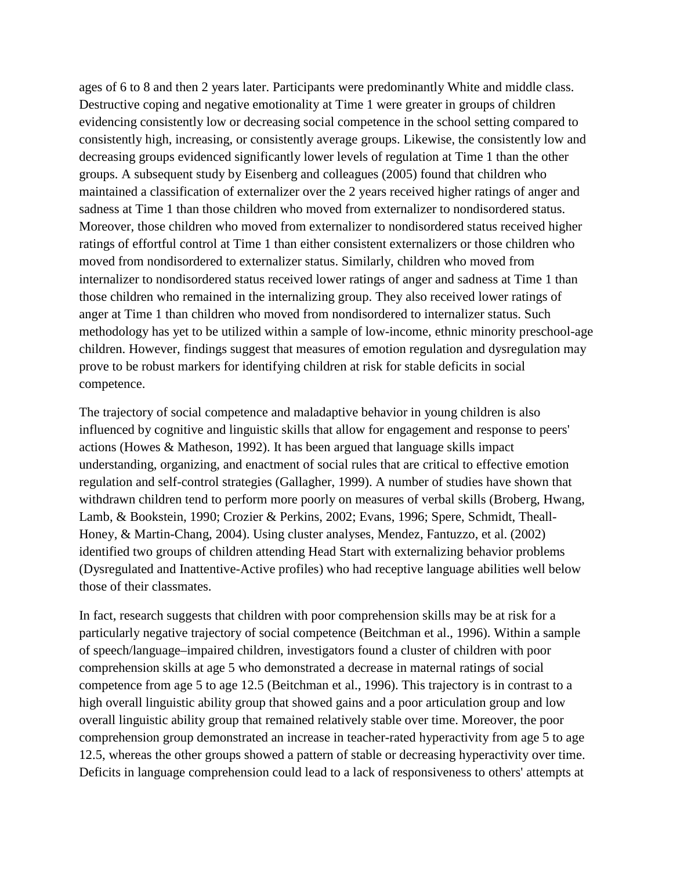ages of 6 to 8 and then 2 years later. Participants were predominantly White and middle class. Destructive coping and negative emotionality at Time 1 were greater in groups of children evidencing consistently low or decreasing social competence in the school setting compared to consistently high, increasing, or consistently average groups. Likewise, the consistently low and decreasing groups evidenced significantly lower levels of regulation at Time 1 than the other groups. A subsequent study by Eisenberg and colleagues (2005) found that children who maintained a classification of externalizer over the 2 years received higher ratings of anger and sadness at Time 1 than those children who moved from externalizer to nondisordered status. Moreover, those children who moved from externalizer to nondisordered status received higher ratings of effortful control at Time 1 than either consistent externalizers or those children who moved from nondisordered to externalizer status. Similarly, children who moved from internalizer to nondisordered status received lower ratings of anger and sadness at Time 1 than those children who remained in the internalizing group. They also received lower ratings of anger at Time 1 than children who moved from nondisordered to internalizer status. Such methodology has yet to be utilized within a sample of low-income, ethnic minority preschool-age children. However, findings suggest that measures of emotion regulation and dysregulation may prove to be robust markers for identifying children at risk for stable deficits in social competence.

The trajectory of social competence and maladaptive behavior in young children is also influenced by cognitive and linguistic skills that allow for engagement and response to peers' actions (Howes & Matheson, 1992). It has been argued that language skills impact understanding, organizing, and enactment of social rules that are critical to effective emotion regulation and self-control strategies (Gallagher, 1999). A number of studies have shown that withdrawn children tend to perform more poorly on measures of verbal skills (Broberg, Hwang, Lamb, & Bookstein, 1990; Crozier & Perkins, 2002; Evans, 1996; Spere, Schmidt, Theall-Honey, & Martin-Chang, 2004). Using cluster analyses, Mendez, Fantuzzo, et al. (2002) identified two groups of children attending Head Start with externalizing behavior problems (Dysregulated and Inattentive-Active profiles) who had receptive language abilities well below those of their classmates.

In fact, research suggests that children with poor comprehension skills may be at risk for a particularly negative trajectory of social competence (Beitchman et al., 1996). Within a sample of speech/language–impaired children, investigators found a cluster of children with poor comprehension skills at age 5 who demonstrated a decrease in maternal ratings of social competence from age 5 to age 12.5 (Beitchman et al., 1996). This trajectory is in contrast to a high overall linguistic ability group that showed gains and a poor articulation group and low overall linguistic ability group that remained relatively stable over time. Moreover, the poor comprehension group demonstrated an increase in teacher-rated hyperactivity from age 5 to age 12.5, whereas the other groups showed a pattern of stable or decreasing hyperactivity over time. Deficits in language comprehension could lead to a lack of responsiveness to others' attempts at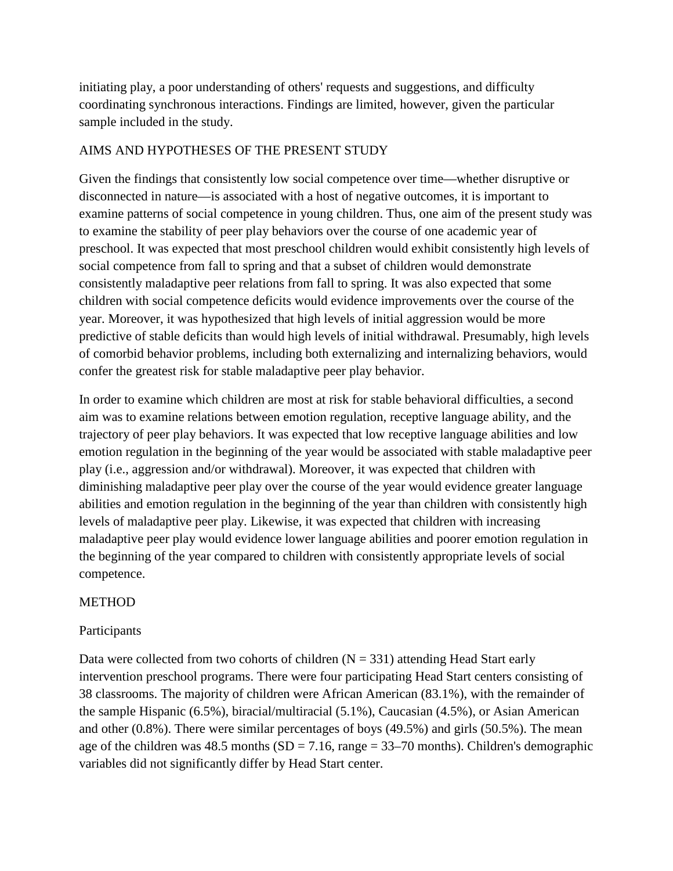initiating play, a poor understanding of others' requests and suggestions, and difficulty coordinating synchronous interactions. Findings are limited, however, given the particular sample included in the study.

## AIMS AND HYPOTHESES OF THE PRESENT STUDY

Given the findings that consistently low social competence over time—whether disruptive or disconnected in nature—is associated with a host of negative outcomes, it is important to examine patterns of social competence in young children. Thus, one aim of the present study was to examine the stability of peer play behaviors over the course of one academic year of preschool. It was expected that most preschool children would exhibit consistently high levels of social competence from fall to spring and that a subset of children would demonstrate consistently maladaptive peer relations from fall to spring. It was also expected that some children with social competence deficits would evidence improvements over the course of the year. Moreover, it was hypothesized that high levels of initial aggression would be more predictive of stable deficits than would high levels of initial withdrawal. Presumably, high levels of comorbid behavior problems, including both externalizing and internalizing behaviors, would confer the greatest risk for stable maladaptive peer play behavior.

In order to examine which children are most at risk for stable behavioral difficulties, a second aim was to examine relations between emotion regulation, receptive language ability, and the trajectory of peer play behaviors. It was expected that low receptive language abilities and low emotion regulation in the beginning of the year would be associated with stable maladaptive peer play (i.e., aggression and/or withdrawal). Moreover, it was expected that children with diminishing maladaptive peer play over the course of the year would evidence greater language abilities and emotion regulation in the beginning of the year than children with consistently high levels of maladaptive peer play. Likewise, it was expected that children with increasing maladaptive peer play would evidence lower language abilities and poorer emotion regulation in the beginning of the year compared to children with consistently appropriate levels of social competence.

### **METHOD**

### Participants

Data were collected from two cohorts of children  $(N = 331)$  attending Head Start early intervention preschool programs. There were four participating Head Start centers consisting of 38 classrooms. The majority of children were African American (83.1%), with the remainder of the sample Hispanic (6.5%), biracial/multiracial (5.1%), Caucasian (4.5%), or Asian American and other (0.8%). There were similar percentages of boys (49.5%) and girls (50.5%). The mean age of the children was 48.5 months  $(SD = 7.16$ , range = 33–70 months). Children's demographic variables did not significantly differ by Head Start center.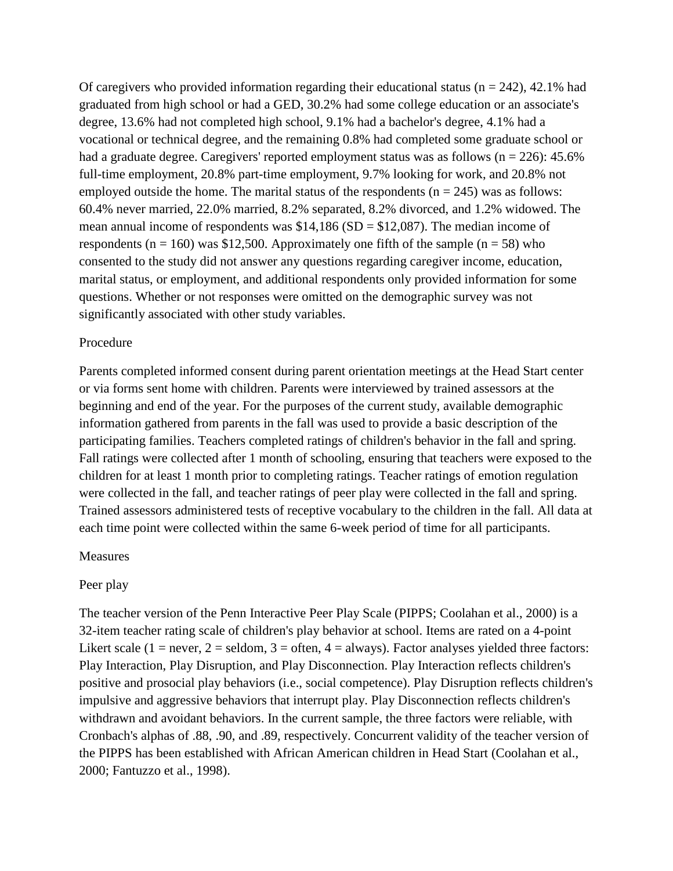Of caregivers who provided information regarding their educational status ( $n = 242$ ), 42.1% had graduated from high school or had a GED, 30.2% had some college education or an associate's degree, 13.6% had not completed high school, 9.1% had a bachelor's degree, 4.1% had a vocational or technical degree, and the remaining 0.8% had completed some graduate school or had a graduate degree. Caregivers' reported employment status was as follows (n = 226): 45.6% full-time employment, 20.8% part-time employment, 9.7% looking for work, and 20.8% not employed outside the home. The marital status of the respondents  $(n = 245)$  was as follows: 60.4% never married, 22.0% married, 8.2% separated, 8.2% divorced, and 1.2% widowed. The mean annual income of respondents was  $$14,186(SD = $12,087)$ . The median income of respondents ( $n = 160$ ) was \$12,500. Approximately one fifth of the sample ( $n = 58$ ) who consented to the study did not answer any questions regarding caregiver income, education, marital status, or employment, and additional respondents only provided information for some questions. Whether or not responses were omitted on the demographic survey was not significantly associated with other study variables.

#### Procedure

Parents completed informed consent during parent orientation meetings at the Head Start center or via forms sent home with children. Parents were interviewed by trained assessors at the beginning and end of the year. For the purposes of the current study, available demographic information gathered from parents in the fall was used to provide a basic description of the participating families. Teachers completed ratings of children's behavior in the fall and spring. Fall ratings were collected after 1 month of schooling, ensuring that teachers were exposed to the children for at least 1 month prior to completing ratings. Teacher ratings of emotion regulation were collected in the fall, and teacher ratings of peer play were collected in the fall and spring. Trained assessors administered tests of receptive vocabulary to the children in the fall. All data at each time point were collected within the same 6-week period of time for all participants.

#### Measures

#### Peer play

The teacher version of the Penn Interactive Peer Play Scale (PIPPS; Coolahan et al., 2000) is a 32-item teacher rating scale of children's play behavior at school. Items are rated on a 4-point Likert scale (1 = never, 2 = seldom, 3 = often, 4 = always). Factor analyses yielded three factors: Play Interaction, Play Disruption, and Play Disconnection. Play Interaction reflects children's positive and prosocial play behaviors (i.e., social competence). Play Disruption reflects children's impulsive and aggressive behaviors that interrupt play. Play Disconnection reflects children's withdrawn and avoidant behaviors. In the current sample, the three factors were reliable, with Cronbach's alphas of .88, .90, and .89, respectively. Concurrent validity of the teacher version of the PIPPS has been established with African American children in Head Start (Coolahan et al., 2000; Fantuzzo et al., 1998).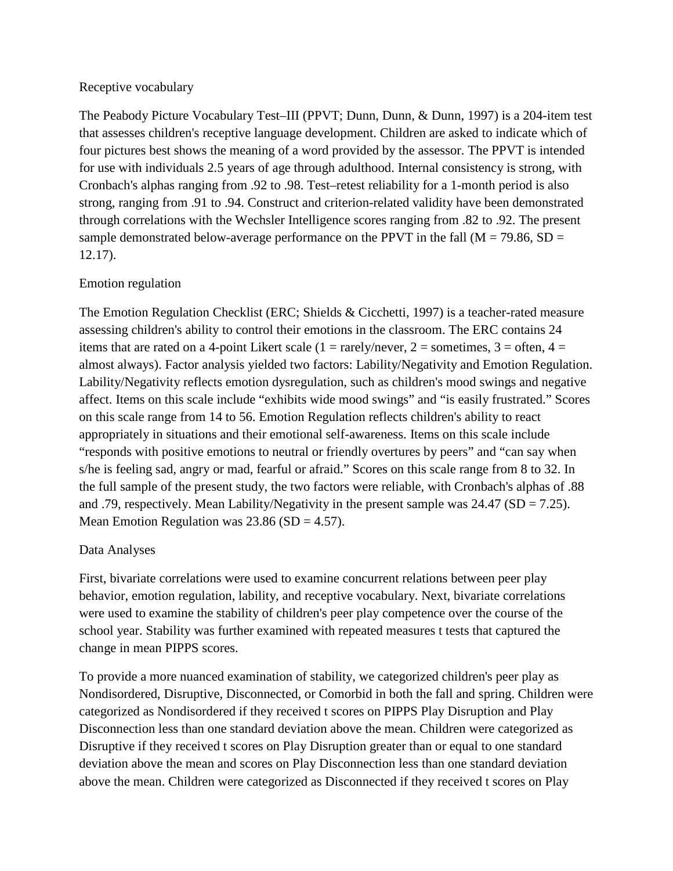#### Receptive vocabulary

The Peabody Picture Vocabulary Test–III (PPVT; Dunn, Dunn, & Dunn, 1997) is a 204-item test that assesses children's receptive language development. Children are asked to indicate which of four pictures best shows the meaning of a word provided by the assessor. The PPVT is intended for use with individuals 2.5 years of age through adulthood. Internal consistency is strong, with Cronbach's alphas ranging from .92 to .98. Test–retest reliability for a 1-month period is also strong, ranging from .91 to .94. Construct and criterion-related validity have been demonstrated through correlations with the Wechsler Intelligence scores ranging from .82 to .92. The present sample demonstrated below-average performance on the PPVT in the fall ( $M = 79.86$ , SD = 12.17).

## Emotion regulation

The Emotion Regulation Checklist (ERC; Shields & Cicchetti, 1997) is a teacher-rated measure assessing children's ability to control their emotions in the classroom. The ERC contains 24 items that are rated on a 4-point Likert scale (1 = rarely/never, 2 = sometimes, 3 = often, 4 = almost always). Factor analysis yielded two factors: Lability/Negativity and Emotion Regulation. Lability/Negativity reflects emotion dysregulation, such as children's mood swings and negative affect. Items on this scale include "exhibits wide mood swings" and "is easily frustrated." Scores on this scale range from 14 to 56. Emotion Regulation reflects children's ability to react appropriately in situations and their emotional self-awareness. Items on this scale include "responds with positive emotions to neutral or friendly overtures by peers" and "can say when s/he is feeling sad, angry or mad, fearful or afraid." Scores on this scale range from 8 to 32. In the full sample of the present study, the two factors were reliable, with Cronbach's alphas of .88 and .79, respectively. Mean Lability/Negativity in the present sample was  $24.47$  (SD = 7.25). Mean Emotion Regulation was  $23.86$  (SD = 4.57).

### Data Analyses

First, bivariate correlations were used to examine concurrent relations between peer play behavior, emotion regulation, lability, and receptive vocabulary. Next, bivariate correlations were used to examine the stability of children's peer play competence over the course of the school year. Stability was further examined with repeated measures t tests that captured the change in mean PIPPS scores.

To provide a more nuanced examination of stability, we categorized children's peer play as Nondisordered, Disruptive, Disconnected, or Comorbid in both the fall and spring. Children were categorized as Nondisordered if they received t scores on PIPPS Play Disruption and Play Disconnection less than one standard deviation above the mean. Children were categorized as Disruptive if they received t scores on Play Disruption greater than or equal to one standard deviation above the mean and scores on Play Disconnection less than one standard deviation above the mean. Children were categorized as Disconnected if they received t scores on Play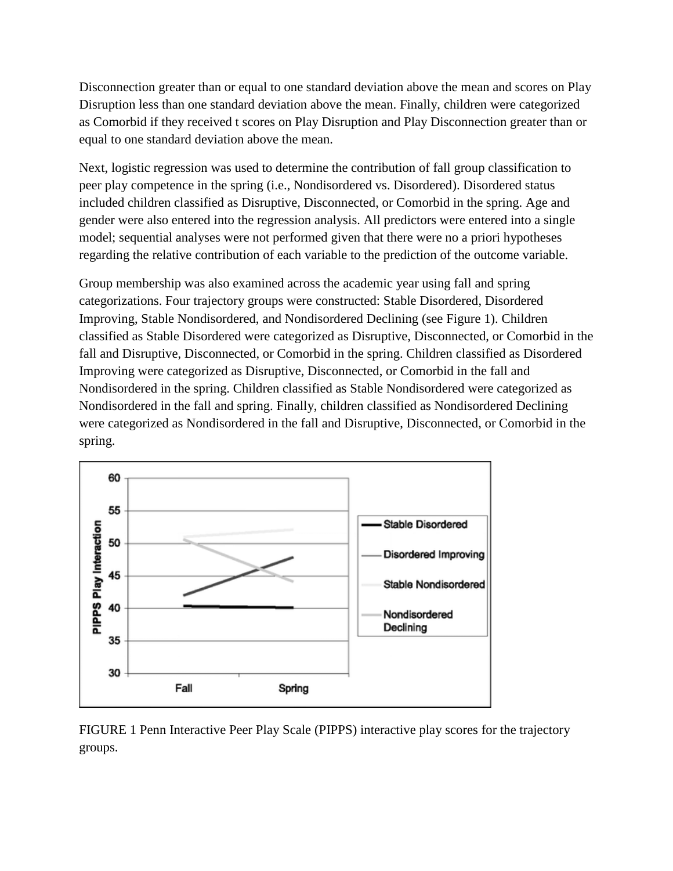Disconnection greater than or equal to one standard deviation above the mean and scores on Play Disruption less than one standard deviation above the mean. Finally, children were categorized as Comorbid if they received t scores on Play Disruption and Play Disconnection greater than or equal to one standard deviation above the mean.

Next, logistic regression was used to determine the contribution of fall group classification to peer play competence in the spring (i.e., Nondisordered vs. Disordered). Disordered status included children classified as Disruptive, Disconnected, or Comorbid in the spring. Age and gender were also entered into the regression analysis. All predictors were entered into a single model; sequential analyses were not performed given that there were no a priori hypotheses regarding the relative contribution of each variable to the prediction of the outcome variable.

Group membership was also examined across the academic year using fall and spring categorizations. Four trajectory groups were constructed: Stable Disordered, Disordered Improving, Stable Nondisordered, and Nondisordered Declining (see Figure 1). Children classified as Stable Disordered were categorized as Disruptive, Disconnected, or Comorbid in the fall and Disruptive, Disconnected, or Comorbid in the spring. Children classified as Disordered Improving were categorized as Disruptive, Disconnected, or Comorbid in the fall and Nondisordered in the spring. Children classified as Stable Nondisordered were categorized as Nondisordered in the fall and spring. Finally, children classified as Nondisordered Declining were categorized as Nondisordered in the fall and Disruptive, Disconnected, or Comorbid in the spring.



FIGURE 1 Penn Interactive Peer Play Scale (PIPPS) interactive play scores for the trajectory groups.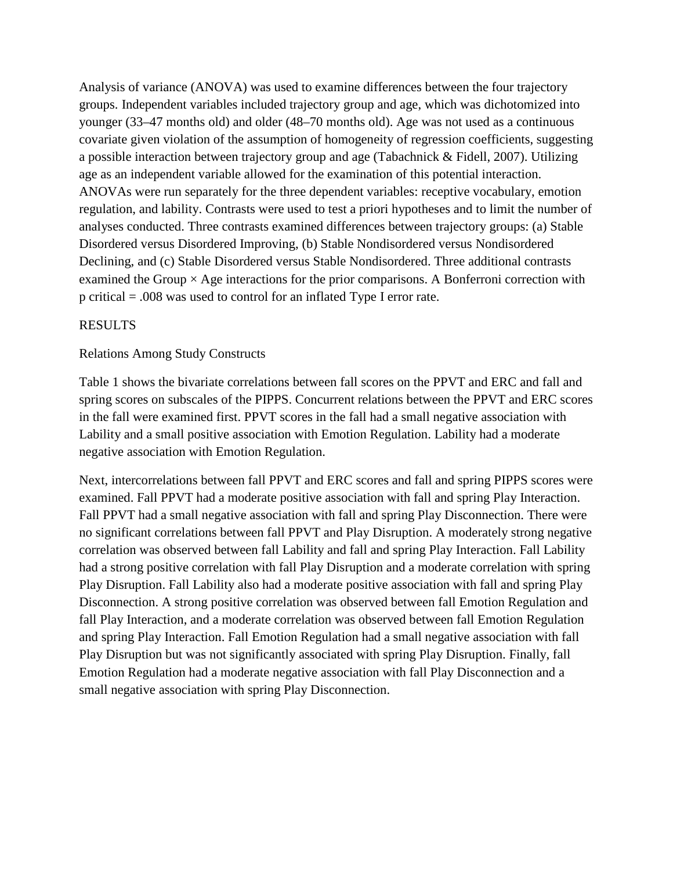Analysis of variance (ANOVA) was used to examine differences between the four trajectory groups. Independent variables included trajectory group and age, which was dichotomized into younger (33–47 months old) and older (48–70 months old). Age was not used as a continuous covariate given violation of the assumption of homogeneity of regression coefficients, suggesting a possible interaction between trajectory group and age (Tabachnick & Fidell, 2007). Utilizing age as an independent variable allowed for the examination of this potential interaction. ANOVAs were run separately for the three dependent variables: receptive vocabulary, emotion regulation, and lability. Contrasts were used to test a priori hypotheses and to limit the number of analyses conducted. Three contrasts examined differences between trajectory groups: (a) Stable Disordered versus Disordered Improving, (b) Stable Nondisordered versus Nondisordered Declining, and (c) Stable Disordered versus Stable Nondisordered. Three additional contrasts examined the Group  $\times$  Age interactions for the prior comparisons. A Bonferroni correction with p critical = .008 was used to control for an inflated Type I error rate.

#### RESULTS

#### Relations Among Study Constructs

Table 1 shows the bivariate correlations between fall scores on the PPVT and ERC and fall and spring scores on subscales of the PIPPS. Concurrent relations between the PPVT and ERC scores in the fall were examined first. PPVT scores in the fall had a small negative association with Lability and a small positive association with Emotion Regulation. Lability had a moderate negative association with Emotion Regulation.

Next, intercorrelations between fall PPVT and ERC scores and fall and spring PIPPS scores were examined. Fall PPVT had a moderate positive association with fall and spring Play Interaction. Fall PPVT had a small negative association with fall and spring Play Disconnection. There were no significant correlations between fall PPVT and Play Disruption. A moderately strong negative correlation was observed between fall Lability and fall and spring Play Interaction. Fall Lability had a strong positive correlation with fall Play Disruption and a moderate correlation with spring Play Disruption. Fall Lability also had a moderate positive association with fall and spring Play Disconnection. A strong positive correlation was observed between fall Emotion Regulation and fall Play Interaction, and a moderate correlation was observed between fall Emotion Regulation and spring Play Interaction. Fall Emotion Regulation had a small negative association with fall Play Disruption but was not significantly associated with spring Play Disruption. Finally, fall Emotion Regulation had a moderate negative association with fall Play Disconnection and a small negative association with spring Play Disconnection.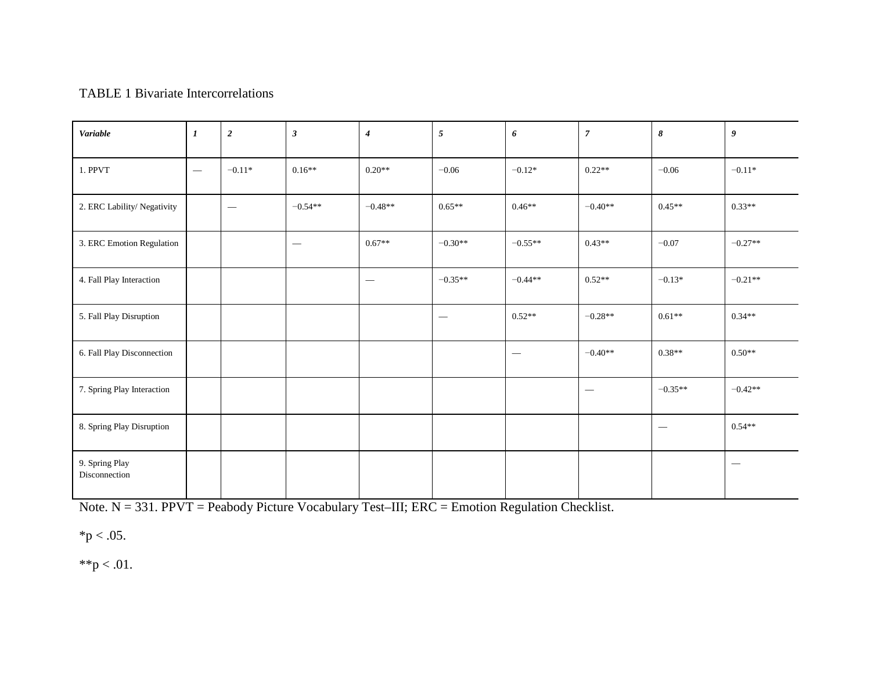### TABLE 1 Bivariate Intercorrelations

| Variable                        | $\boldsymbol{\mathit{1}}$ | $\overline{2}$           | $\boldsymbol{\beta}$ | $\boldsymbol{4}$ | $\mathfrak{s}$                  | 6                               | $\boldsymbol{7}$                  | 8         | 9         |
|---------------------------------|---------------------------|--------------------------|----------------------|------------------|---------------------------------|---------------------------------|-----------------------------------|-----------|-----------|
| 1. PPVT                         | $\hspace{0.05cm}$         | $-0.11*$                 | $0.16**$             | $0.20**$         | $-0.06$                         | $-0.12*$                        | $0.22**$                          | $-0.06$   | $-0.11*$  |
| 2. ERC Lability/ Negativity     |                           | $\overline{\phantom{m}}$ | $-0.54**$            | $-0.48**$        | $0.65**$                        | $0.46**$                        | $-0.40**$                         | $0.45**$  | $0.33**$  |
| 3. ERC Emotion Regulation       |                           |                          | $\hspace{0.05cm}$    | $0.67**$         | $-0.30**$                       | $-0.55**$                       | $0.43**$                          | $-0.07$   | $-0.27**$ |
| 4. Fall Play Interaction        |                           |                          |                      |                  | $-0.35**$                       | $-0.44**$                       | $0.52**$                          | $-0.13*$  | $-0.21**$ |
| 5. Fall Play Disruption         |                           |                          |                      |                  | $\hspace{0.1mm}-\hspace{0.1mm}$ | $0.52**$                        | $-0.28**$                         | $0.61**$  | $0.34**$  |
| 6. Fall Play Disconnection      |                           |                          |                      |                  |                                 | $\hspace{0.1mm}-\hspace{0.1mm}$ | $-0.40**$                         | $0.38**$  | $0.50**$  |
| 7. Spring Play Interaction      |                           |                          |                      |                  |                                 |                                 | $\overbrace{\phantom{123221111}}$ | $-0.35**$ | $-0.42**$ |
| 8. Spring Play Disruption       |                           |                          |                      |                  |                                 |                                 |                                   |           | $0.54**$  |
| 9. Spring Play<br>Disconnection |                           |                          |                      |                  |                                 |                                 |                                   |           |           |

Note. N = 331. PPVT = Peabody Picture Vocabulary Test–III; ERC = Emotion Regulation Checklist.

 $*p < .05$ .

 $*$  $p < .01$ .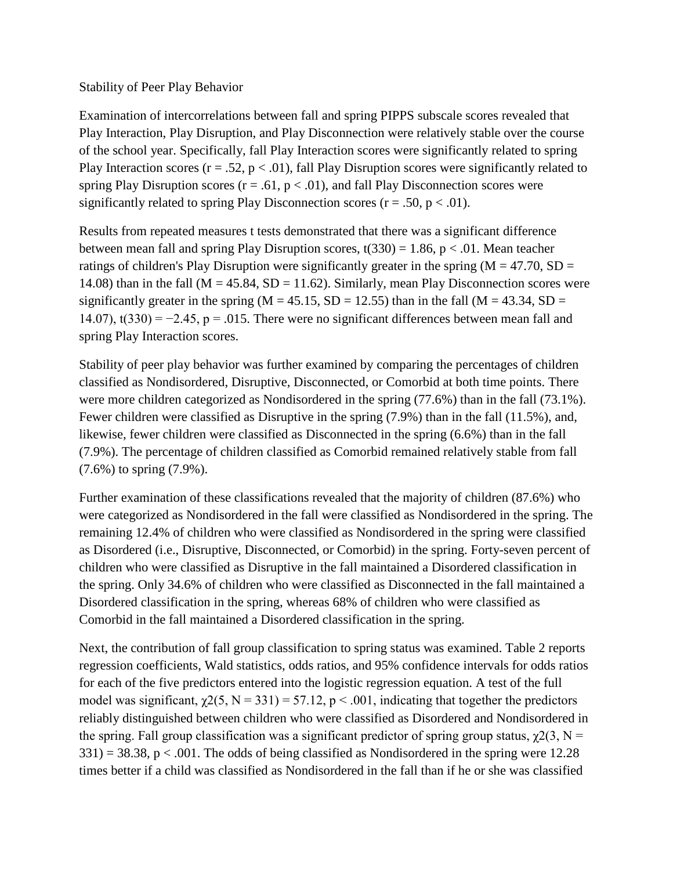### Stability of Peer Play Behavior

Examination of intercorrelations between fall and spring PIPPS subscale scores revealed that Play Interaction, Play Disruption, and Play Disconnection were relatively stable over the course of the school year. Specifically, fall Play Interaction scores were significantly related to spring Play Interaction scores ( $r = .52$ ,  $p < .01$ ), fall Play Disruption scores were significantly related to spring Play Disruption scores  $(r = .61, p < .01)$ , and fall Play Disconnection scores were significantly related to spring Play Disconnection scores ( $r = .50$ ,  $p < .01$ ).

Results from repeated measures t tests demonstrated that there was a significant difference between mean fall and spring Play Disruption scores,  $t(330) = 1.86$ , p < .01. Mean teacher ratings of children's Play Disruption were significantly greater in the spring  $(M = 47.70, SD =$ 14.08) than in the fall ( $M = 45.84$ ,  $SD = 11.62$ ). Similarly, mean Play Disconnection scores were significantly greater in the spring ( $M = 45.15$ ,  $SD = 12.55$ ) than in the fall ( $M = 43.34$ ,  $SD =$ 14.07),  $t(330) = -2.45$ , p = .015. There were no significant differences between mean fall and spring Play Interaction scores.

Stability of peer play behavior was further examined by comparing the percentages of children classified as Nondisordered, Disruptive, Disconnected, or Comorbid at both time points. There were more children categorized as Nondisordered in the spring (77.6%) than in the fall (73.1%). Fewer children were classified as Disruptive in the spring (7.9%) than in the fall (11.5%), and, likewise, fewer children were classified as Disconnected in the spring (6.6%) than in the fall (7.9%). The percentage of children classified as Comorbid remained relatively stable from fall (7.6%) to spring (7.9%).

Further examination of these classifications revealed that the majority of children (87.6%) who were categorized as Nondisordered in the fall were classified as Nondisordered in the spring. The remaining 12.4% of children who were classified as Nondisordered in the spring were classified as Disordered (i.e., Disruptive, Disconnected, or Comorbid) in the spring. Forty-seven percent of children who were classified as Disruptive in the fall maintained a Disordered classification in the spring. Only 34.6% of children who were classified as Disconnected in the fall maintained a Disordered classification in the spring, whereas 68% of children who were classified as Comorbid in the fall maintained a Disordered classification in the spring.

Next, the contribution of fall group classification to spring status was examined. Table 2 reports regression coefficients, Wald statistics, odds ratios, and 95% confidence intervals for odds ratios for each of the five predictors entered into the logistic regression equation. A test of the full model was significant,  $\chi$ 2(5, N = 331) = 57.12, p < .001, indicating that together the predictors reliably distinguished between children who were classified as Disordered and Nondisordered in the spring. Fall group classification was a significant predictor of spring group status,  $\chi$ 2(3, N =  $331$ ) = 38.38, p < .001. The odds of being classified as Nondisordered in the spring were 12.28 times better if a child was classified as Nondisordered in the fall than if he or she was classified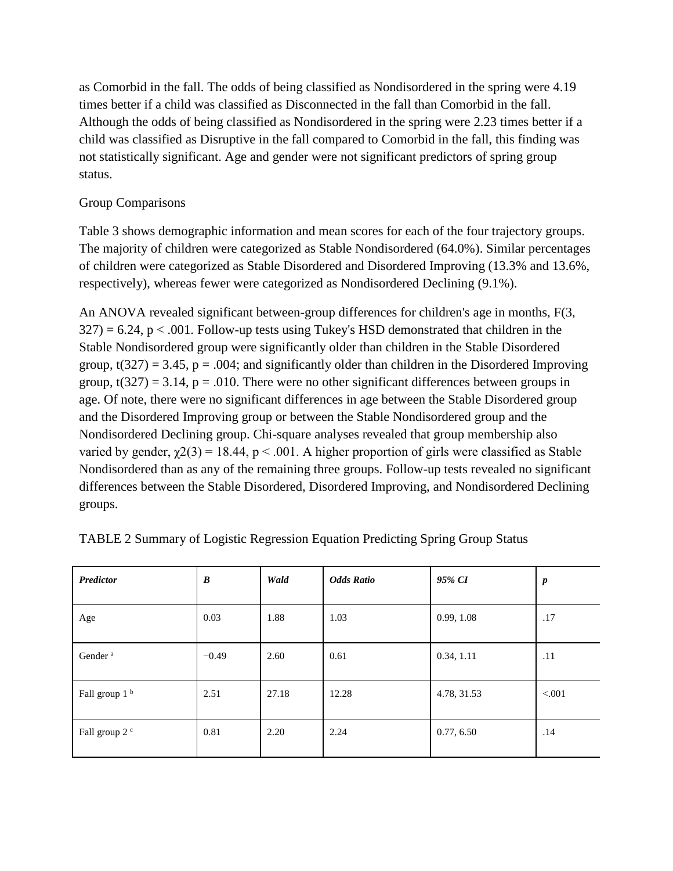as Comorbid in the fall. The odds of being classified as Nondisordered in the spring were 4.19 times better if a child was classified as Disconnected in the fall than Comorbid in the fall. Although the odds of being classified as Nondisordered in the spring were 2.23 times better if a child was classified as Disruptive in the fall compared to Comorbid in the fall, this finding was not statistically significant. Age and gender were not significant predictors of spring group status.

### Group Comparisons

Table 3 shows demographic information and mean scores for each of the four trajectory groups. The majority of children were categorized as Stable Nondisordered (64.0%). Similar percentages of children were categorized as Stable Disordered and Disordered Improving (13.3% and 13.6%, respectively), whereas fewer were categorized as Nondisordered Declining (9.1%).

An ANOVA revealed significant between-group differences for children's age in months, F(3,  $327$ ) = 6.24, p < .001. Follow-up tests using Tukey's HSD demonstrated that children in the Stable Nondisordered group were significantly older than children in the Stable Disordered group,  $t(327) = 3.45$ ,  $p = .004$ ; and significantly older than children in the Disordered Improving group,  $t(327) = 3.14$ ,  $p = .010$ . There were no other significant differences between groups in age. Of note, there were no significant differences in age between the Stable Disordered group and the Disordered Improving group or between the Stable Nondisordered group and the Nondisordered Declining group. Chi-square analyses revealed that group membership also varied by gender,  $\chi$ 2(3) = 18.44, p < .001. A higher proportion of girls were classified as Stable Nondisordered than as any of the remaining three groups. Follow-up tests revealed no significant differences between the Stable Disordered, Disordered Improving, and Nondisordered Declining groups.

| <b>Predictor</b>          | $\boldsymbol{B}$ | Wald  | <b>Odds Ratio</b> | 95% CI      | $\boldsymbol{p}$ |
|---------------------------|------------------|-------|-------------------|-------------|------------------|
| Age                       | 0.03             | 1.88  | 1.03              | 0.99, 1.08  | .17              |
| Gender <sup>a</sup>       | $-0.49$          | 2.60  | 0.61              | 0.34, 1.11  | .11              |
| Fall group 1 <sup>b</sup> | 2.51             | 27.18 | 12.28             | 4.78, 31.53 | < 0.01           |
| Fall group 2 c            | 0.81             | 2.20  | 2.24              | 0.77, 6.50  | .14              |

| TABLE 2 Summary of Logistic Regression Equation Predicting Spring Group Status |  |  |  |  |
|--------------------------------------------------------------------------------|--|--|--|--|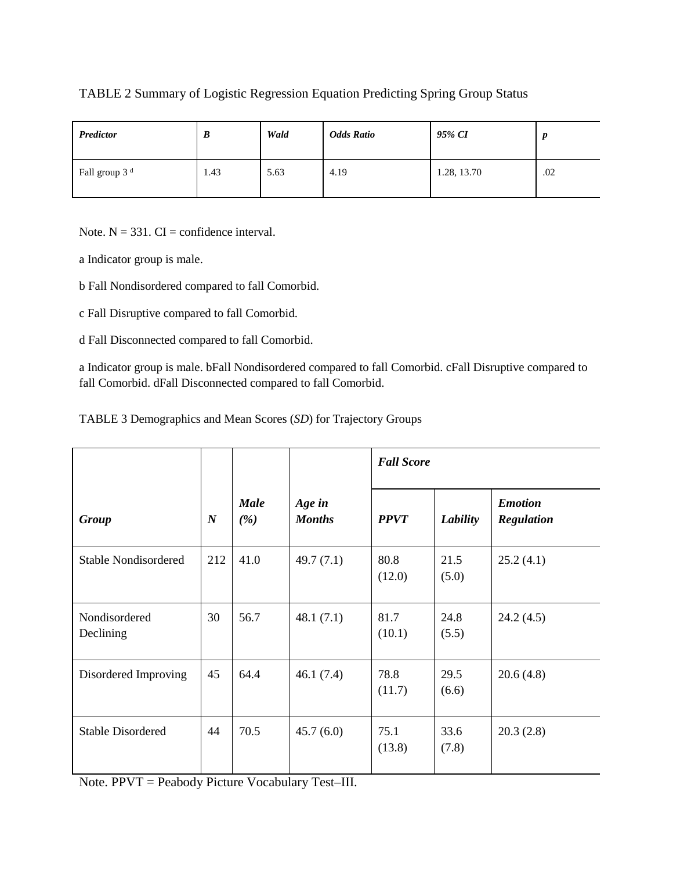| <b>Predictor</b>          | ,,   | Wald | <b>Odds Ratio</b> | 95% CI      | $\boldsymbol{p}$ |
|---------------------------|------|------|-------------------|-------------|------------------|
| Fall group 3 <sup>d</sup> | 1.43 | 5.63 | 4.19              | 1.28, 13.70 | .02              |

Note.  $N = 331$ . CI = confidence interval.

a Indicator group is male.

b Fall Nondisordered compared to fall Comorbid.

c Fall Disruptive compared to fall Comorbid.

d Fall Disconnected compared to fall Comorbid.

a Indicator group is male. bFall Nondisordered compared to fall Comorbid. cFall Disruptive compared to fall Comorbid. dFall Disconnected compared to fall Comorbid.

TABLE 3 Demographics and Mean Scores (*SD*) for Trajectory Groups

|                             |                  |                    |                         | <b>Fall Score</b> |               |                              |  |
|-----------------------------|------------------|--------------------|-------------------------|-------------------|---------------|------------------------------|--|
| Group                       | $\boldsymbol{N}$ | <b>Male</b><br>(%) | Age in<br><b>Months</b> | <b>PPVT</b>       | Lability      | <b>Emotion</b><br>Regulation |  |
| <b>Stable Nondisordered</b> | 212              | 41.0               | 49.7(7.1)               | 80.8<br>(12.0)    | 21.5<br>(5.0) | 25.2(4.1)                    |  |
| Nondisordered<br>Declining  | 30               | 56.7               | 48.1(7.1)               | 81.7<br>(10.1)    | 24.8<br>(5.5) | 24.2(4.5)                    |  |
| Disordered Improving        | 45               | 64.4               | 46.1(7.4)               | 78.8<br>(11.7)    | 29.5<br>(6.6) | 20.6(4.8)                    |  |
| <b>Stable Disordered</b>    | 44               | 70.5               | 45.7(6.0)               | 75.1<br>(13.8)    | 33.6<br>(7.8) | 20.3(2.8)                    |  |

Note. PPVT = Peabody Picture Vocabulary Test–III.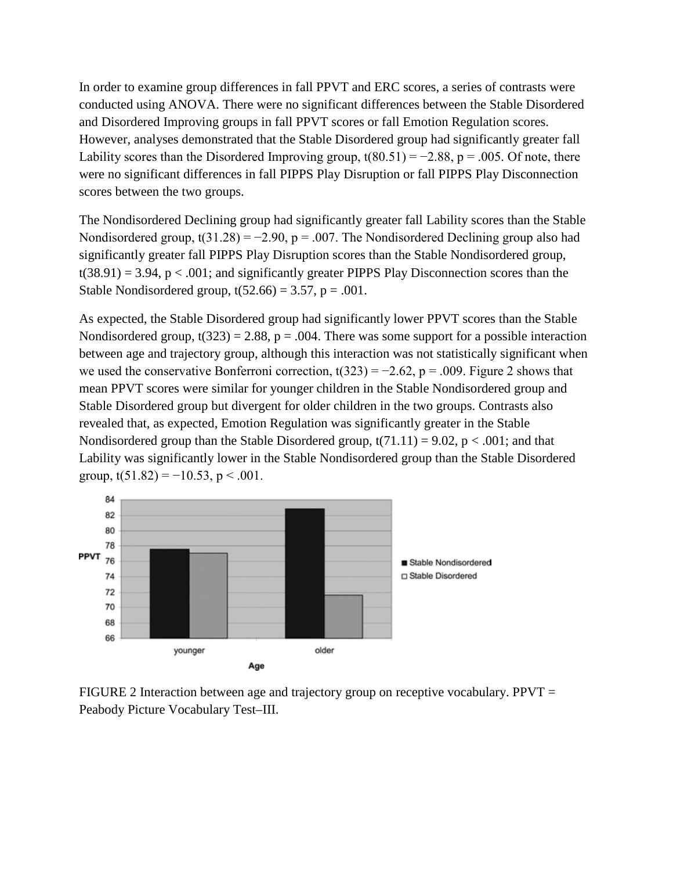In order to examine group differences in fall PPVT and ERC scores, a series of contrasts were conducted using ANOVA. There were no significant differences between the Stable Disordered and Disordered Improving groups in fall PPVT scores or fall Emotion Regulation scores. However, analyses demonstrated that the Stable Disordered group had significantly greater fall Lability scores than the Disordered Improving group,  $t(80.51) = -2.88$ , p = .005. Of note, there were no significant differences in fall PIPPS Play Disruption or fall PIPPS Play Disconnection scores between the two groups.

The Nondisordered Declining group had significantly greater fall Lability scores than the Stable Nondisordered group,  $t(31.28) = -2.90$ ,  $p = .007$ . The Nondisordered Declining group also had significantly greater fall PIPPS Play Disruption scores than the Stable Nondisordered group,  $t(38.91) = 3.94$ ,  $p < .001$ ; and significantly greater PIPPS Play Disconnection scores than the Stable Nondisordered group,  $t(52.66) = 3.57$ ,  $p = .001$ .

As expected, the Stable Disordered group had significantly lower PPVT scores than the Stable Nondisordered group,  $t(323) = 2.88$ ,  $p = .004$ . There was some support for a possible interaction between age and trajectory group, although this interaction was not statistically significant when we used the conservative Bonferroni correction,  $t(323) = -2.62$ , p = .009. Figure 2 shows that mean PPVT scores were similar for younger children in the Stable Nondisordered group and Stable Disordered group but divergent for older children in the two groups. Contrasts also revealed that, as expected, Emotion Regulation was significantly greater in the Stable Nondisordered group than the Stable Disordered group,  $t(71.11) = 9.02$ , p < .001; and that Lability was significantly lower in the Stable Nondisordered group than the Stable Disordered group,  $t(51.82) = -10.53$ ,  $p < .001$ .



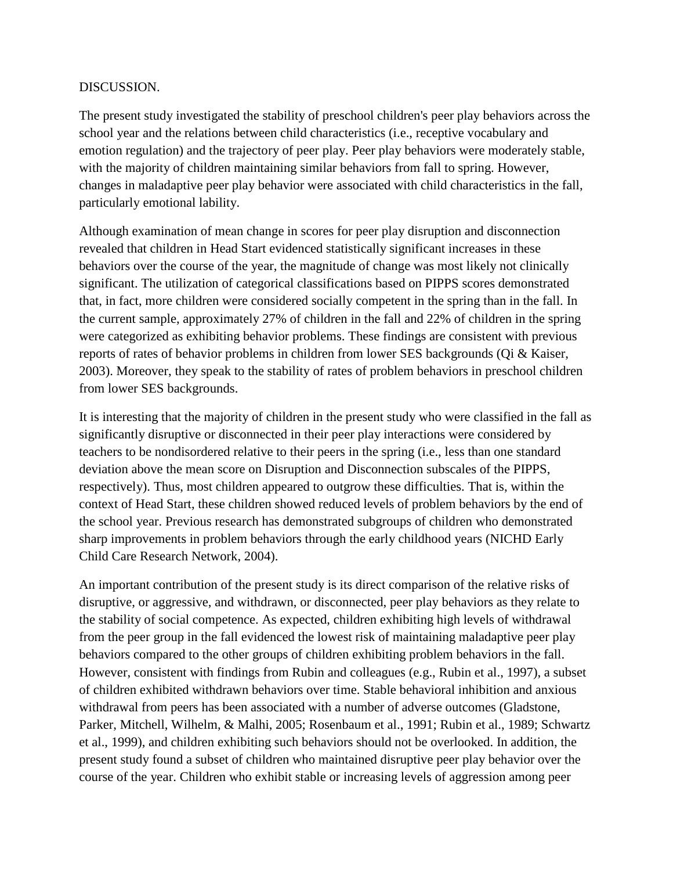#### DISCUSSION.

The present study investigated the stability of preschool children's peer play behaviors across the school year and the relations between child characteristics (i.e., receptive vocabulary and emotion regulation) and the trajectory of peer play. Peer play behaviors were moderately stable, with the majority of children maintaining similar behaviors from fall to spring. However, changes in maladaptive peer play behavior were associated with child characteristics in the fall, particularly emotional lability.

Although examination of mean change in scores for peer play disruption and disconnection revealed that children in Head Start evidenced statistically significant increases in these behaviors over the course of the year, the magnitude of change was most likely not clinically significant. The utilization of categorical classifications based on PIPPS scores demonstrated that, in fact, more children were considered socially competent in the spring than in the fall. In the current sample, approximately 27% of children in the fall and 22% of children in the spring were categorized as exhibiting behavior problems. These findings are consistent with previous reports of rates of behavior problems in children from lower SES backgrounds (Qi & Kaiser, 2003). Moreover, they speak to the stability of rates of problem behaviors in preschool children from lower SES backgrounds.

It is interesting that the majority of children in the present study who were classified in the fall as significantly disruptive or disconnected in their peer play interactions were considered by teachers to be nondisordered relative to their peers in the spring (i.e., less than one standard deviation above the mean score on Disruption and Disconnection subscales of the PIPPS, respectively). Thus, most children appeared to outgrow these difficulties. That is, within the context of Head Start, these children showed reduced levels of problem behaviors by the end of the school year. Previous research has demonstrated subgroups of children who demonstrated sharp improvements in problem behaviors through the early childhood years (NICHD Early Child Care Research Network, 2004).

An important contribution of the present study is its direct comparison of the relative risks of disruptive, or aggressive, and withdrawn, or disconnected, peer play behaviors as they relate to the stability of social competence. As expected, children exhibiting high levels of withdrawal from the peer group in the fall evidenced the lowest risk of maintaining maladaptive peer play behaviors compared to the other groups of children exhibiting problem behaviors in the fall. However, consistent with findings from Rubin and colleagues (e.g., Rubin et al., 1997), a subset of children exhibited withdrawn behaviors over time. Stable behavioral inhibition and anxious withdrawal from peers has been associated with a number of adverse outcomes (Gladstone, Parker, Mitchell, Wilhelm, & Malhi, 2005; Rosenbaum et al., 1991; Rubin et al., 1989; Schwartz et al., 1999), and children exhibiting such behaviors should not be overlooked. In addition, the present study found a subset of children who maintained disruptive peer play behavior over the course of the year. Children who exhibit stable or increasing levels of aggression among peer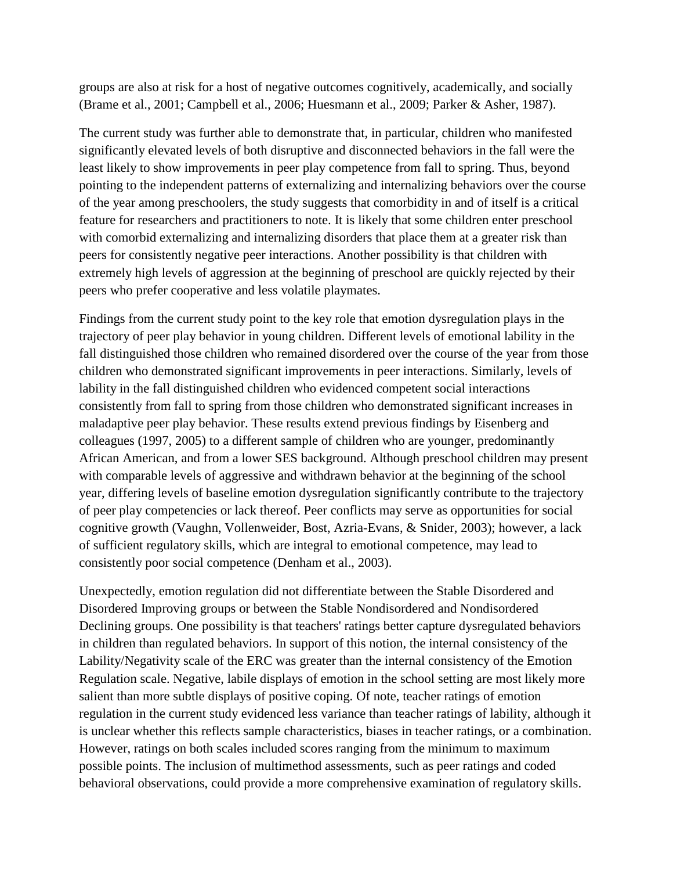groups are also at risk for a host of negative outcomes cognitively, academically, and socially (Brame et al., 2001; Campbell et al., 2006; Huesmann et al., 2009; Parker & Asher, 1987).

The current study was further able to demonstrate that, in particular, children who manifested significantly elevated levels of both disruptive and disconnected behaviors in the fall were the least likely to show improvements in peer play competence from fall to spring. Thus, beyond pointing to the independent patterns of externalizing and internalizing behaviors over the course of the year among preschoolers, the study suggests that comorbidity in and of itself is a critical feature for researchers and practitioners to note. It is likely that some children enter preschool with comorbid externalizing and internalizing disorders that place them at a greater risk than peers for consistently negative peer interactions. Another possibility is that children with extremely high levels of aggression at the beginning of preschool are quickly rejected by their peers who prefer cooperative and less volatile playmates.

Findings from the current study point to the key role that emotion dysregulation plays in the trajectory of peer play behavior in young children. Different levels of emotional lability in the fall distinguished those children who remained disordered over the course of the year from those children who demonstrated significant improvements in peer interactions. Similarly, levels of lability in the fall distinguished children who evidenced competent social interactions consistently from fall to spring from those children who demonstrated significant increases in maladaptive peer play behavior. These results extend previous findings by Eisenberg and colleagues (1997, 2005) to a different sample of children who are younger, predominantly African American, and from a lower SES background. Although preschool children may present with comparable levels of aggressive and withdrawn behavior at the beginning of the school year, differing levels of baseline emotion dysregulation significantly contribute to the trajectory of peer play competencies or lack thereof. Peer conflicts may serve as opportunities for social cognitive growth (Vaughn, Vollenweider, Bost, Azria-Evans, & Snider, 2003); however, a lack of sufficient regulatory skills, which are integral to emotional competence, may lead to consistently poor social competence (Denham et al., 2003).

Unexpectedly, emotion regulation did not differentiate between the Stable Disordered and Disordered Improving groups or between the Stable Nondisordered and Nondisordered Declining groups. One possibility is that teachers' ratings better capture dysregulated behaviors in children than regulated behaviors. In support of this notion, the internal consistency of the Lability/Negativity scale of the ERC was greater than the internal consistency of the Emotion Regulation scale. Negative, labile displays of emotion in the school setting are most likely more salient than more subtle displays of positive coping. Of note, teacher ratings of emotion regulation in the current study evidenced less variance than teacher ratings of lability, although it is unclear whether this reflects sample characteristics, biases in teacher ratings, or a combination. However, ratings on both scales included scores ranging from the minimum to maximum possible points. The inclusion of multimethod assessments, such as peer ratings and coded behavioral observations, could provide a more comprehensive examination of regulatory skills.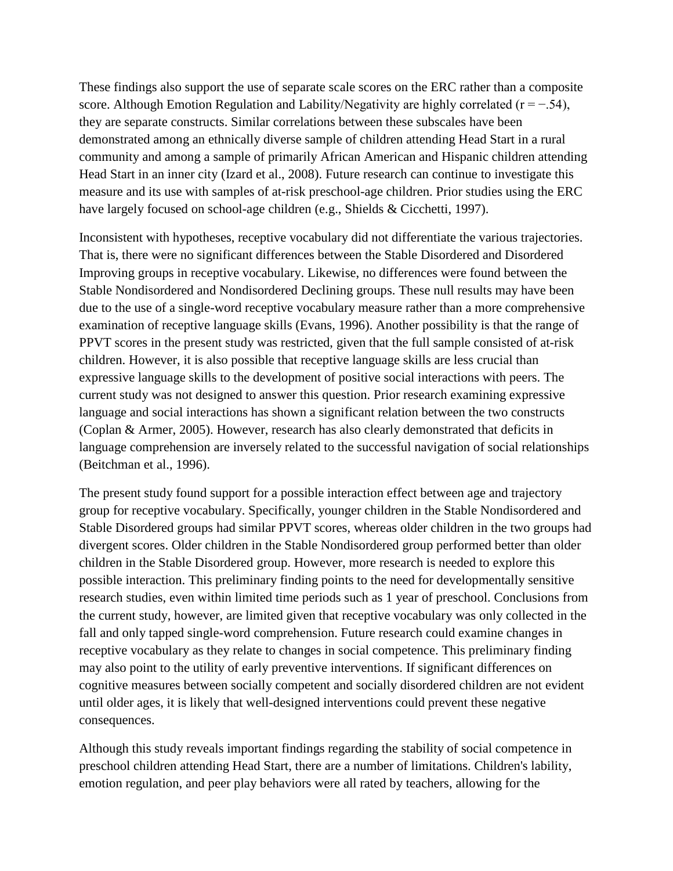These findings also support the use of separate scale scores on the ERC rather than a composite score. Although Emotion Regulation and Lability/Negativity are highly correlated ( $r = -0.54$ ), they are separate constructs. Similar correlations between these subscales have been demonstrated among an ethnically diverse sample of children attending Head Start in a rural community and among a sample of primarily African American and Hispanic children attending Head Start in an inner city (Izard et al., 2008). Future research can continue to investigate this measure and its use with samples of at-risk preschool-age children. Prior studies using the ERC have largely focused on school-age children (e.g., Shields & Cicchetti, 1997).

Inconsistent with hypotheses, receptive vocabulary did not differentiate the various trajectories. That is, there were no significant differences between the Stable Disordered and Disordered Improving groups in receptive vocabulary. Likewise, no differences were found between the Stable Nondisordered and Nondisordered Declining groups. These null results may have been due to the use of a single-word receptive vocabulary measure rather than a more comprehensive examination of receptive language skills (Evans, 1996). Another possibility is that the range of PPVT scores in the present study was restricted, given that the full sample consisted of at-risk children. However, it is also possible that receptive language skills are less crucial than expressive language skills to the development of positive social interactions with peers. The current study was not designed to answer this question. Prior research examining expressive language and social interactions has shown a significant relation between the two constructs (Coplan & Armer, 2005). However, research has also clearly demonstrated that deficits in language comprehension are inversely related to the successful navigation of social relationships (Beitchman et al., 1996).

The present study found support for a possible interaction effect between age and trajectory group for receptive vocabulary. Specifically, younger children in the Stable Nondisordered and Stable Disordered groups had similar PPVT scores, whereas older children in the two groups had divergent scores. Older children in the Stable Nondisordered group performed better than older children in the Stable Disordered group. However, more research is needed to explore this possible interaction. This preliminary finding points to the need for developmentally sensitive research studies, even within limited time periods such as 1 year of preschool. Conclusions from the current study, however, are limited given that receptive vocabulary was only collected in the fall and only tapped single-word comprehension. Future research could examine changes in receptive vocabulary as they relate to changes in social competence. This preliminary finding may also point to the utility of early preventive interventions. If significant differences on cognitive measures between socially competent and socially disordered children are not evident until older ages, it is likely that well-designed interventions could prevent these negative consequences.

Although this study reveals important findings regarding the stability of social competence in preschool children attending Head Start, there are a number of limitations. Children's lability, emotion regulation, and peer play behaviors were all rated by teachers, allowing for the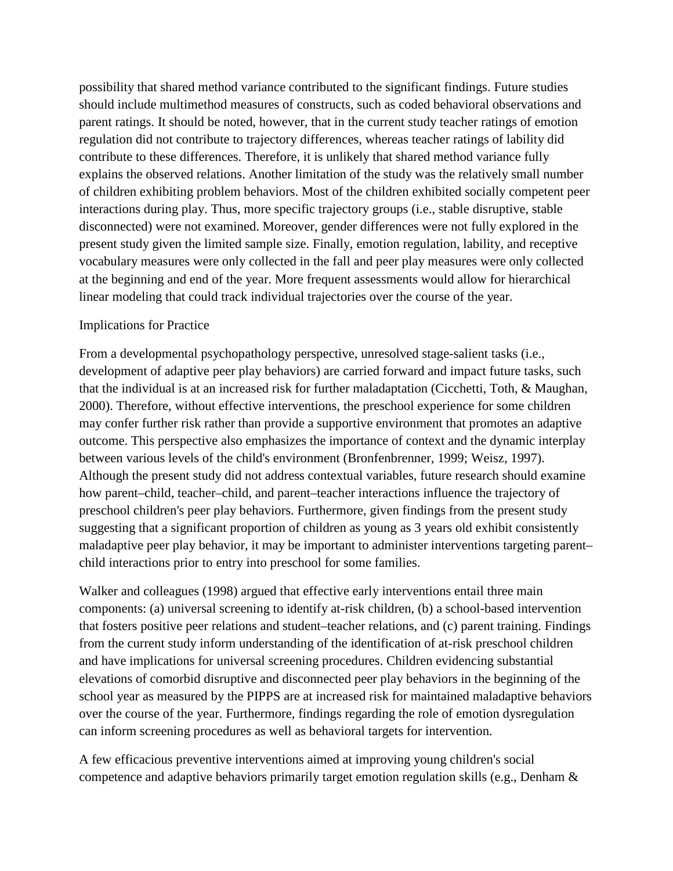possibility that shared method variance contributed to the significant findings. Future studies should include multimethod measures of constructs, such as coded behavioral observations and parent ratings. It should be noted, however, that in the current study teacher ratings of emotion regulation did not contribute to trajectory differences, whereas teacher ratings of lability did contribute to these differences. Therefore, it is unlikely that shared method variance fully explains the observed relations. Another limitation of the study was the relatively small number of children exhibiting problem behaviors. Most of the children exhibited socially competent peer interactions during play. Thus, more specific trajectory groups (i.e., stable disruptive, stable disconnected) were not examined. Moreover, gender differences were not fully explored in the present study given the limited sample size. Finally, emotion regulation, lability, and receptive vocabulary measures were only collected in the fall and peer play measures were only collected at the beginning and end of the year. More frequent assessments would allow for hierarchical linear modeling that could track individual trajectories over the course of the year.

#### Implications for Practice

From a developmental psychopathology perspective, unresolved stage-salient tasks (i.e., development of adaptive peer play behaviors) are carried forward and impact future tasks, such that the individual is at an increased risk for further maladaptation (Cicchetti, Toth, & Maughan, 2000). Therefore, without effective interventions, the preschool experience for some children may confer further risk rather than provide a supportive environment that promotes an adaptive outcome. This perspective also emphasizes the importance of context and the dynamic interplay between various levels of the child's environment (Bronfenbrenner, 1999; Weisz, 1997). Although the present study did not address contextual variables, future research should examine how parent–child, teacher–child, and parent–teacher interactions influence the trajectory of preschool children's peer play behaviors. Furthermore, given findings from the present study suggesting that a significant proportion of children as young as 3 years old exhibit consistently maladaptive peer play behavior, it may be important to administer interventions targeting parent– child interactions prior to entry into preschool for some families.

Walker and colleagues (1998) argued that effective early interventions entail three main components: (a) universal screening to identify at-risk children, (b) a school-based intervention that fosters positive peer relations and student–teacher relations, and (c) parent training. Findings from the current study inform understanding of the identification of at-risk preschool children and have implications for universal screening procedures. Children evidencing substantial elevations of comorbid disruptive and disconnected peer play behaviors in the beginning of the school year as measured by the PIPPS are at increased risk for maintained maladaptive behaviors over the course of the year. Furthermore, findings regarding the role of emotion dysregulation can inform screening procedures as well as behavioral targets for intervention.

A few efficacious preventive interventions aimed at improving young children's social competence and adaptive behaviors primarily target emotion regulation skills (e.g., Denham &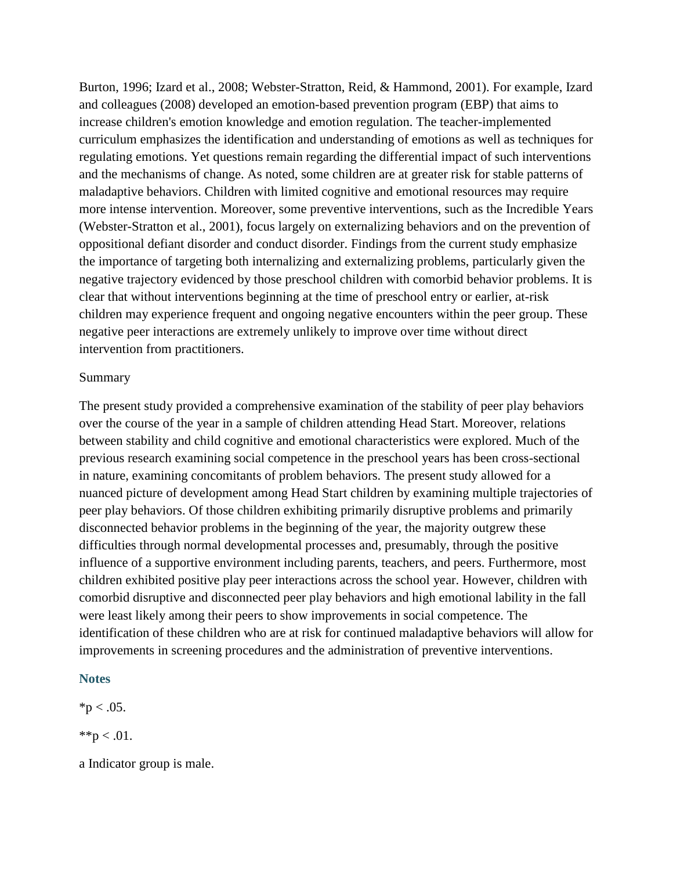Burton, 1996; Izard et al., 2008; Webster-Stratton, Reid, & Hammond, 2001). For example, Izard and colleagues (2008) developed an emotion-based prevention program (EBP) that aims to increase children's emotion knowledge and emotion regulation. The teacher-implemented curriculum emphasizes the identification and understanding of emotions as well as techniques for regulating emotions. Yet questions remain regarding the differential impact of such interventions and the mechanisms of change. As noted, some children are at greater risk for stable patterns of maladaptive behaviors. Children with limited cognitive and emotional resources may require more intense intervention. Moreover, some preventive interventions, such as the Incredible Years (Webster-Stratton et al., 2001), focus largely on externalizing behaviors and on the prevention of oppositional defiant disorder and conduct disorder. Findings from the current study emphasize the importance of targeting both internalizing and externalizing problems, particularly given the negative trajectory evidenced by those preschool children with comorbid behavior problems. It is clear that without interventions beginning at the time of preschool entry or earlier, at-risk children may experience frequent and ongoing negative encounters within the peer group. These negative peer interactions are extremely unlikely to improve over time without direct intervention from practitioners.

#### Summary

The present study provided a comprehensive examination of the stability of peer play behaviors over the course of the year in a sample of children attending Head Start. Moreover, relations between stability and child cognitive and emotional characteristics were explored. Much of the previous research examining social competence in the preschool years has been cross-sectional in nature, examining concomitants of problem behaviors. The present study allowed for a nuanced picture of development among Head Start children by examining multiple trajectories of peer play behaviors. Of those children exhibiting primarily disruptive problems and primarily disconnected behavior problems in the beginning of the year, the majority outgrew these difficulties through normal developmental processes and, presumably, through the positive influence of a supportive environment including parents, teachers, and peers. Furthermore, most children exhibited positive play peer interactions across the school year. However, children with comorbid disruptive and disconnected peer play behaviors and high emotional lability in the fall were least likely among their peers to show improvements in social competence. The identification of these children who are at risk for continued maladaptive behaviors will allow for improvements in screening procedures and the administration of preventive interventions.

#### **Notes**

 $*p < .05$ .

 $*$  $p < .01$ .

a Indicator group is male.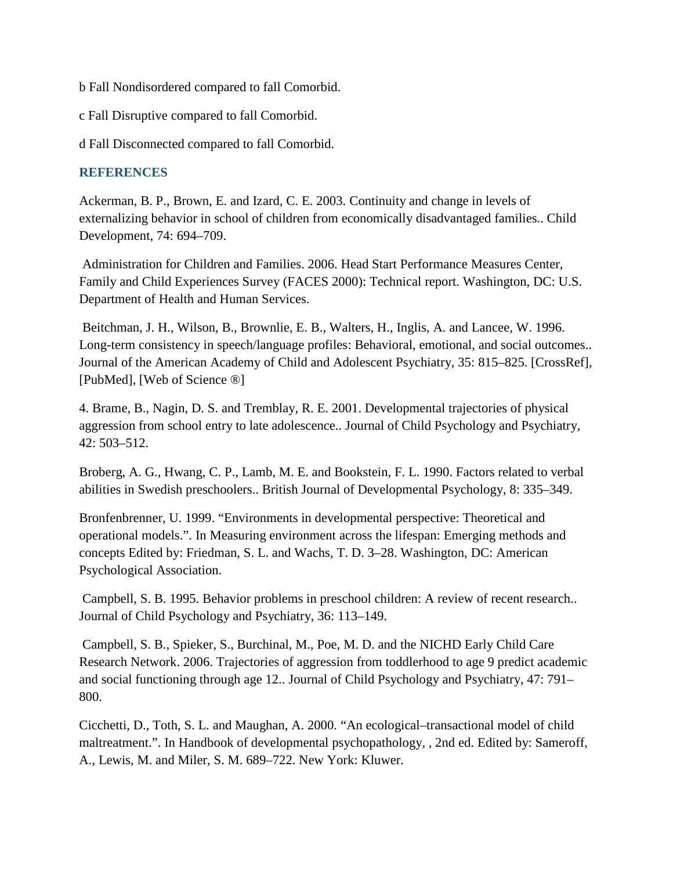- b Fall Nondisordered compared to fall Comorbid.
- c Fall Disruptive compared to fall Comorbid.

d Fall Disconnected compared to fall Comorbid.

### **REFERENCES**

Ackerman, B. P., Brown, E. and Izard, C. E. 2003. Continuity and change in levels of externalizing behavior in school of children from economically disadvantaged families.. Child Development, 74: 694–709.

Administration for Children and Families. 2006. Head Start Performance Measures Center, Family and Child Experiences Survey (FACES 2000): Technical report. Washington, DC: U.S. Department of Health and Human Services.

Beitchman, J. H., Wilson, B., Brownlie, E. B., Walters, H., Inglis, A. and Lancee, W. 1996. Long-term consistency in speech/language profiles: Behavioral, emotional, and social outcomes.. Journal of the American Academy of Child and Adolescent Psychiatry, 35: 815–825. [CrossRef], [PubMed], [Web of Science ®]

4. Brame, B., Nagin, D. S. and Tremblay, R. E. 2001. Developmental trajectories of physical aggression from school entry to late adolescence.. Journal of Child Psychology and Psychiatry, 42: 503–512.

Broberg, A. G., Hwang, C. P., Lamb, M. E. and Bookstein, F. L. 1990. Factors related to verbal abilities in Swedish preschoolers.. British Journal of Developmental Psychology, 8: 335–349.

Bronfenbrenner, U. 1999. "Environments in developmental perspective: Theoretical and operational models.". In Measuring environment across the lifespan: Emerging methods and concepts Edited by: Friedman, S. L. and Wachs, T. D. 3–28. Washington, DC: American Psychological Association.

Campbell, S. B. 1995. Behavior problems in preschool children: A review of recent research.. Journal of Child Psychology and Psychiatry, 36: 113–149.

Campbell, S. B., Spieker, S., Burchinal, M., Poe, M. D. and the NICHD Early Child Care Research Network. 2006. Trajectories of aggression from toddlerhood to age 9 predict academic and social functioning through age 12.. Journal of Child Psychology and Psychiatry, 47: 791– 800.

Cicchetti, D., Toth, S. L. and Maughan, A. 2000. "An ecological–transactional model of child maltreatment.". In Handbook of developmental psychopathology, , 2nd ed. Edited by: Sameroff, A., Lewis, M. and Miler, S. M. 689–722. New York: Kluwer.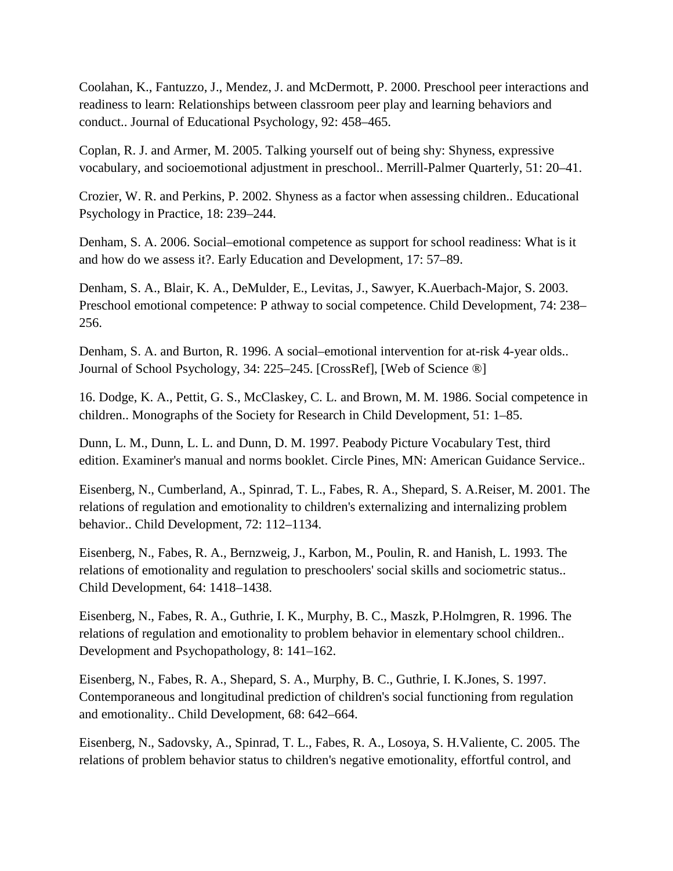Coolahan, K., Fantuzzo, J., Mendez, J. and McDermott, P. 2000. Preschool peer interactions and readiness to learn: Relationships between classroom peer play and learning behaviors and conduct.. Journal of Educational Psychology, 92: 458–465.

Coplan, R. J. and Armer, M. 2005. Talking yourself out of being shy: Shyness, expressive vocabulary, and socioemotional adjustment in preschool.. Merrill-Palmer Quarterly, 51: 20–41.

Crozier, W. R. and Perkins, P. 2002. Shyness as a factor when assessing children.. Educational Psychology in Practice, 18: 239–244.

Denham, S. A. 2006. Social–emotional competence as support for school readiness: What is it and how do we assess it?. Early Education and Development, 17: 57–89.

Denham, S. A., Blair, K. A., DeMulder, E., Levitas, J., Sawyer, K.Auerbach-Major, S. 2003. Preschool emotional competence: P athway to social competence. Child Development, 74: 238– 256.

Denham, S. A. and Burton, R. 1996. A social–emotional intervention for at-risk 4-year olds.. Journal of School Psychology, 34: 225–245. [CrossRef], [Web of Science ®]

16. Dodge, K. A., Pettit, G. S., McClaskey, C. L. and Brown, M. M. 1986. Social competence in children.. Monographs of the Society for Research in Child Development, 51: 1–85.

Dunn, L. M., Dunn, L. L. and Dunn, D. M. 1997. Peabody Picture Vocabulary Test, third edition. Examiner's manual and norms booklet. Circle Pines, MN: American Guidance Service..

Eisenberg, N., Cumberland, A., Spinrad, T. L., Fabes, R. A., Shepard, S. A.Reiser, M. 2001. The relations of regulation and emotionality to children's externalizing and internalizing problem behavior.. Child Development, 72: 112–1134.

Eisenberg, N., Fabes, R. A., Bernzweig, J., Karbon, M., Poulin, R. and Hanish, L. 1993. The relations of emotionality and regulation to preschoolers' social skills and sociometric status.. Child Development, 64: 1418–1438.

Eisenberg, N., Fabes, R. A., Guthrie, I. K., Murphy, B. C., Maszk, P.Holmgren, R. 1996. The relations of regulation and emotionality to problem behavior in elementary school children.. Development and Psychopathology, 8: 141–162.

Eisenberg, N., Fabes, R. A., Shepard, S. A., Murphy, B. C., Guthrie, I. K.Jones, S. 1997. Contemporaneous and longitudinal prediction of children's social functioning from regulation and emotionality.. Child Development, 68: 642–664.

Eisenberg, N., Sadovsky, A., Spinrad, T. L., Fabes, R. A., Losoya, S. H.Valiente, C. 2005. The relations of problem behavior status to children's negative emotionality, effortful control, and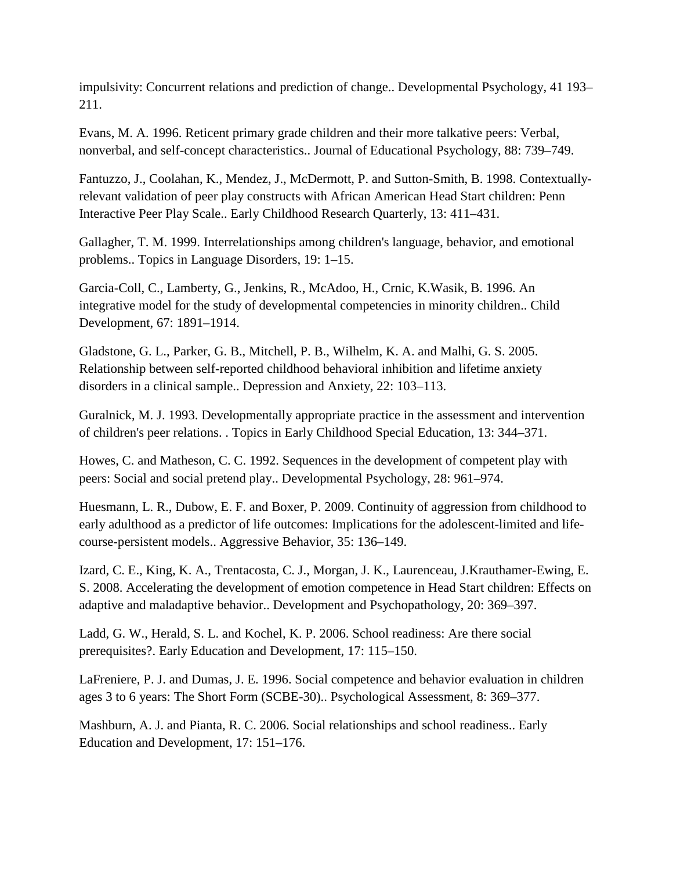impulsivity: Concurrent relations and prediction of change.. Developmental Psychology, 41 193– 211.

Evans, M. A. 1996. Reticent primary grade children and their more talkative peers: Verbal, nonverbal, and self-concept characteristics.. Journal of Educational Psychology, 88: 739–749.

Fantuzzo, J., Coolahan, K., Mendez, J., McDermott, P. and Sutton-Smith, B. 1998. Contextuallyrelevant validation of peer play constructs with African American Head Start children: Penn Interactive Peer Play Scale.. Early Childhood Research Quarterly, 13: 411–431.

Gallagher, T. M. 1999. Interrelationships among children's language, behavior, and emotional problems.. Topics in Language Disorders, 19: 1–15.

Garcia-Coll, C., Lamberty, G., Jenkins, R., McAdoo, H., Crnic, K.Wasik, B. 1996. An integrative model for the study of developmental competencies in minority children.. Child Development, 67: 1891–1914.

Gladstone, G. L., Parker, G. B., Mitchell, P. B., Wilhelm, K. A. and Malhi, G. S. 2005. Relationship between self-reported childhood behavioral inhibition and lifetime anxiety disorders in a clinical sample.. Depression and Anxiety, 22: 103–113.

Guralnick, M. J. 1993. Developmentally appropriate practice in the assessment and intervention of children's peer relations. . Topics in Early Childhood Special Education, 13: 344–371.

Howes, C. and Matheson, C. C. 1992. Sequences in the development of competent play with peers: Social and social pretend play.. Developmental Psychology, 28: 961–974.

Huesmann, L. R., Dubow, E. F. and Boxer, P. 2009. Continuity of aggression from childhood to early adulthood as a predictor of life outcomes: Implications for the adolescent-limited and lifecourse-persistent models.. Aggressive Behavior, 35: 136–149.

Izard, C. E., King, K. A., Trentacosta, C. J., Morgan, J. K., Laurenceau, J.Krauthamer-Ewing, E. S. 2008. Accelerating the development of emotion competence in Head Start children: Effects on adaptive and maladaptive behavior.. Development and Psychopathology, 20: 369–397.

Ladd, G. W., Herald, S. L. and Kochel, K. P. 2006. School readiness: Are there social prerequisites?. Early Education and Development, 17: 115–150.

LaFreniere, P. J. and Dumas, J. E. 1996. Social competence and behavior evaluation in children ages 3 to 6 years: The Short Form (SCBE-30).. Psychological Assessment, 8: 369–377.

Mashburn, A. J. and Pianta, R. C. 2006. Social relationships and school readiness.. Early Education and Development, 17: 151–176.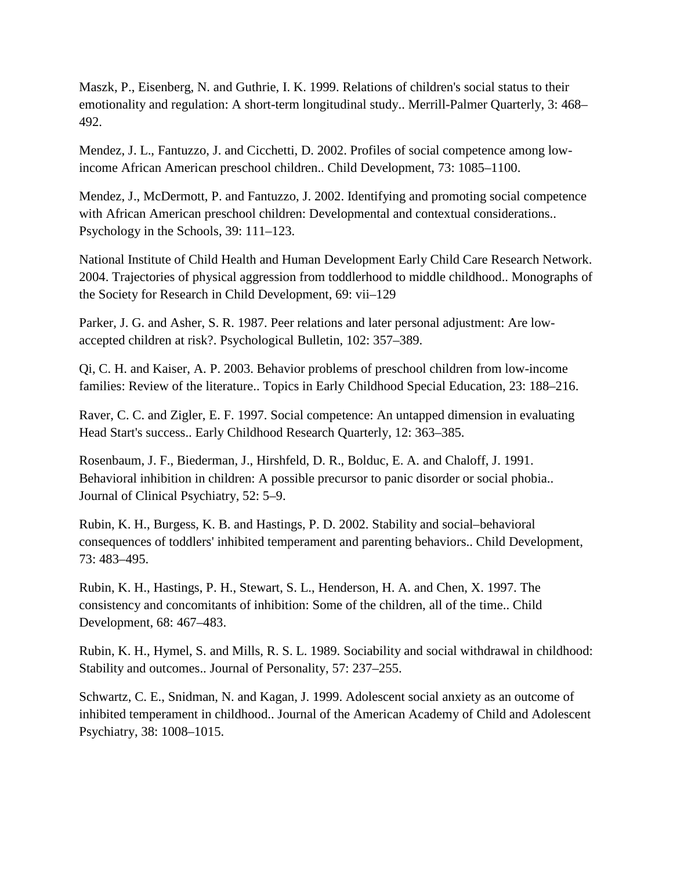Maszk, P., Eisenberg, N. and Guthrie, I. K. 1999. Relations of children's social status to their emotionality and regulation: A short-term longitudinal study.. Merrill-Palmer Quarterly, 3: 468– 492.

Mendez, J. L., Fantuzzo, J. and Cicchetti, D. 2002. Profiles of social competence among lowincome African American preschool children.. Child Development, 73: 1085–1100.

Mendez, J., McDermott, P. and Fantuzzo, J. 2002. Identifying and promoting social competence with African American preschool children: Developmental and contextual considerations.. Psychology in the Schools, 39: 111–123.

National Institute of Child Health and Human Development Early Child Care Research Network. 2004. Trajectories of physical aggression from toddlerhood to middle childhood.. Monographs of the Society for Research in Child Development, 69: vii–129

Parker, J. G. and Asher, S. R. 1987. Peer relations and later personal adjustment: Are lowaccepted children at risk?. Psychological Bulletin, 102: 357–389.

Qi, C. H. and Kaiser, A. P. 2003. Behavior problems of preschool children from low-income families: Review of the literature.. Topics in Early Childhood Special Education, 23: 188–216.

Raver, C. C. and Zigler, E. F. 1997. Social competence: An untapped dimension in evaluating Head Start's success.. Early Childhood Research Quarterly, 12: 363–385.

Rosenbaum, J. F., Biederman, J., Hirshfeld, D. R., Bolduc, E. A. and Chaloff, J. 1991. Behavioral inhibition in children: A possible precursor to panic disorder or social phobia.. Journal of Clinical Psychiatry, 52: 5–9.

Rubin, K. H., Burgess, K. B. and Hastings, P. D. 2002. Stability and social–behavioral consequences of toddlers' inhibited temperament and parenting behaviors.. Child Development, 73: 483–495.

Rubin, K. H., Hastings, P. H., Stewart, S. L., Henderson, H. A. and Chen, X. 1997. The consistency and concomitants of inhibition: Some of the children, all of the time.. Child Development, 68: 467–483.

Rubin, K. H., Hymel, S. and Mills, R. S. L. 1989. Sociability and social withdrawal in childhood: Stability and outcomes.. Journal of Personality, 57: 237–255.

Schwartz, C. E., Snidman, N. and Kagan, J. 1999. Adolescent social anxiety as an outcome of inhibited temperament in childhood.. Journal of the American Academy of Child and Adolescent Psychiatry, 38: 1008–1015.